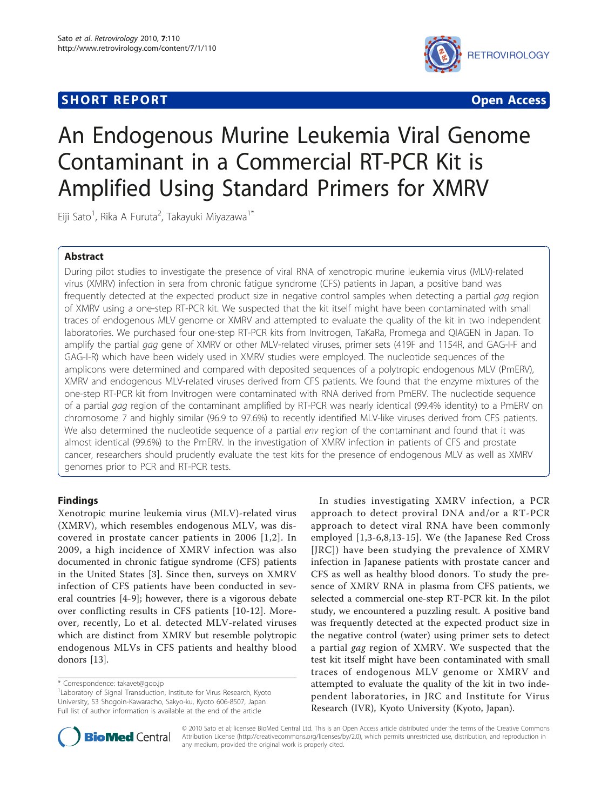# **SHORT REPORT SHORT CONSUMING THE CONSUMING THE CONSUMING THE CONSUMING THE CONSUMING THE CONSUMING THE CONSUMING THE CONSUMING THE CONSUMING THE CONSUMING THE CONSUMING THE CONSUMING THE CONSUMING THE CONSUMING THE CONS**



# An Endogenous Murine Leukemia Viral Genome Contaminant in a Commercial RT-PCR Kit is Amplified Using Standard Primers for XMRV

Eiji Sato<sup>1</sup>, Rika A Furuta<sup>2</sup>, Takayuki Miyazawa<sup>1\*</sup>

## Abstract

During pilot studies to investigate the presence of viral RNA of xenotropic murine leukemia virus (MLV)-related virus (XMRV) infection in sera from chronic fatigue syndrome (CFS) patients in Japan, a positive band was frequently detected at the expected product size in negative control samples when detecting a partial gag region of XMRV using a one-step RT-PCR kit. We suspected that the kit itself might have been contaminated with small traces of endogenous MLV genome or XMRV and attempted to evaluate the quality of the kit in two independent laboratories. We purchased four one-step RT-PCR kits from Invitrogen, TaKaRa, Promega and QIAGEN in Japan. To amplify the partial gag gene of XMRV or other MLV-related viruses, primer sets (419F and 1154R, and GAG-I-F and GAG-I-R) which have been widely used in XMRV studies were employed. The nucleotide sequences of the amplicons were determined and compared with deposited sequences of a polytropic endogenous MLV (PmERV), XMRV and endogenous MLV-related viruses derived from CFS patients. We found that the enzyme mixtures of the one-step RT-PCR kit from Invitrogen were contaminated with RNA derived from PmERV. The nucleotide sequence of a partial gag region of the contaminant amplified by RT-PCR was nearly identical (99.4% identity) to a PmERV on chromosome 7 and highly similar (96.9 to 97.6%) to recently identified MLV-like viruses derived from CFS patients. We also determined the nucleotide sequence of a partial env region of the contaminant and found that it was almost identical (99.6%) to the PmERV. In the investigation of XMRV infection in patients of CFS and prostate cancer, researchers should prudently evaluate the test kits for the presence of endogenous MLV as well as XMRV genomes prior to PCR and RT-PCR tests.

# Findings

Xenotropic murine leukemia virus (MLV)-related virus (XMRV), which resembles endogenous MLV, was discovered in prostate cancer patients in 2006 [[1,2\]](#page-6-0). In 2009, a high incidence of XMRV infection was also documented in chronic fatigue syndrome (CFS) patients in the United States [[3\]](#page-6-0). Since then, surveys on XMRV infection of CFS patients have been conducted in several countries [\[4](#page-6-0)-[9\]](#page-6-0); however, there is a vigorous debate over conflicting results in CFS patients [[10](#page-6-0)-[12\]](#page-6-0). Moreover, recently, Lo et al. detected MLV-related viruses which are distinct from XMRV but resemble polytropic endogenous MLVs in CFS patients and healthy blood donors [\[13](#page-6-0)].

In studies investigating XMRV infection, a PCR approach to detect proviral DNA and/or a RT-PCR approach to detect viral RNA have been commonly employed [\[1,3-6,8](#page-6-0),[13-15\]](#page-6-0). We (the Japanese Red Cross [JRC]) have been studying the prevalence of XMRV infection in Japanese patients with prostate cancer and CFS as well as healthy blood donors. To study the presence of XMRV RNA in plasma from CFS patients, we selected a commercial one-step RT-PCR kit. In the pilot study, we encountered a puzzling result. A positive band was frequently detected at the expected product size in the negative control (water) using primer sets to detect a partial gag region of XMRV. We suspected that the test kit itself might have been contaminated with small traces of endogenous MLV genome or XMRV and attempted to evaluate the quality of the kit in two independent laboratories, in JRC and Institute for Virus Research (IVR), Kyoto University (Kyoto, Japan).



© 2010 Sato et al; licensee BioMed Central Ltd. This is an Open Access article distributed under the terms of the Creative Commons Attribution License [\(http://creativecommons.org/licenses/by/2.0](http://creativecommons.org/licenses/by/2.0)), which permits unrestricted use, distribution, and reproduction in any medium, provided the original work is properly cited.

<sup>\*</sup> Correspondence: [takavet@goo.jp](mailto:takavet@goo.jp)

<sup>&</sup>lt;sup>1</sup> Laboratory of Signal Transduction, Institute for Virus Research, Kyoto University, 53 Shogoin-Kawaracho, Sakyo-ku, Kyoto 606-8507, Japan Full list of author information is available at the end of the article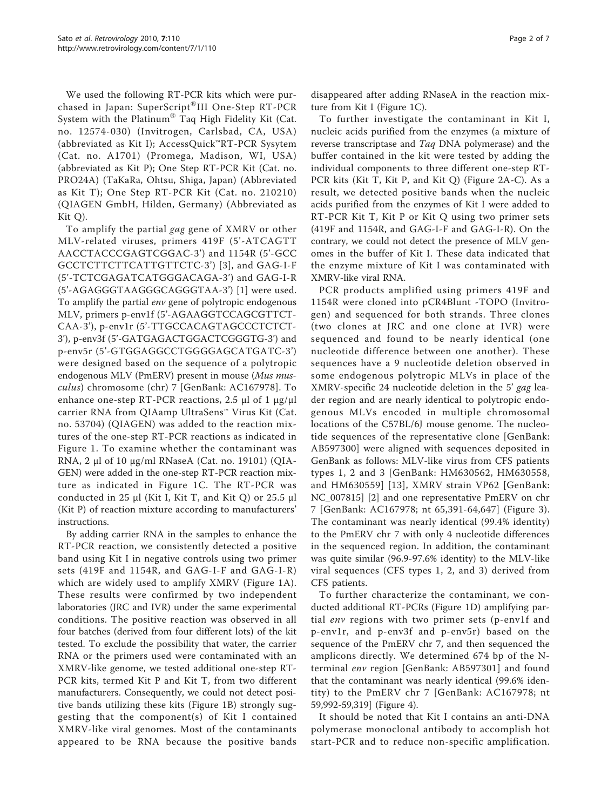We used the following RT-PCR kits which were purchased in Japan: SuperScript®III One-Step RT-PCR System with the Platinum® Taq High Fidelity Kit (Cat. no. 12574-030) (Invitrogen, Carlsbad, CA, USA) (abbreviated as Kit I); AccessQuick™RT-PCR Sysytem (Cat. no. A1701) (Promega, Madison, WI, USA) (abbreviated as Kit P); One Step RT-PCR Kit (Cat. no. PRO24A) (TaKaRa, Ohtsu, Shiga, Japan) (Abbreviated as Kit T); One Step RT-PCR Kit (Cat. no. 210210) (QIAGEN GmbH, Hilden, Germany) (Abbreviated as Kit Q).

To amplify the partial gag gene of XMRV or other MLV-related viruses, primers 419F (5'-ATCAGTT AACCTACCCGAGTCGGAC-3') and 1154R (5'-GCC GCCTCTTCTTCATTGTTCTC-3') [[3](#page-6-0)], and GAG-I-F (5'-TCTCGAGATCATGGGACAGA-3') and GAG-I-R (5'-AGAGGGTAAGGGCAGGGTAA-3') [[1](#page-6-0)] were used. To amplify the partial env gene of polytropic endogenous MLV, primers p-env1f (5'-AGAAGGTCCAGCGTTCT-CAA-3'), p-env1r (5'-TTGCCACAGTAGCCCTCTCT-3'), p-env3f (5'-GATGAGACTGGACTCGGGTG-3') and p-env5r (5'-GTGGAGGCCTGGGGAGCATGATC-3') were designed based on the sequence of a polytropic endogenous MLV (PmERV) present in mouse (Mus musculus) chromosome (chr) 7 [GenBank: [AC167978\]](http://www.ncbi.nih.gov/entrez/query.fcgi?db=Nucleotide&cmd=search&term=AC167978). To enhance one-step RT-PCR reactions, 2.5 μl of 1 μg/μl carrier RNA from QIAamp UltraSens™ Virus Kit (Cat. no. 53704) (QIAGEN) was added to the reaction mixtures of the one-step RT-PCR reactions as indicated in Figure [1](#page-2-0). To examine whether the contaminant was RNA, 2 μl of 10 μg/ml RNaseA (Cat. no. 19101) (QIA-GEN) were added in the one-step RT-PCR reaction mixture as indicated in Figure [1C.](#page-2-0) The RT-PCR was conducted in 25  $\mu$ l (Kit I, Kit T, and Kit Q) or 25.5  $\mu$ l (Kit P) of reaction mixture according to manufacturers' instructions.

By adding carrier RNA in the samples to enhance the RT-PCR reaction, we consistently detected a positive band using Kit I in negative controls using two primer sets (419F and 1154R, and GAG-I-F and GAG-I-R) which are widely used to amplify XMRV (Figure [1A\)](#page-2-0). These results were confirmed by two independent laboratories (JRC and IVR) under the same experimental conditions. The positive reaction was observed in all four batches (derived from four different lots) of the kit tested. To exclude the possibility that water, the carrier RNA or the primers used were contaminated with an XMRV-like genome, we tested additional one-step RT-PCR kits, termed Kit P and Kit T, from two different manufacturers. Consequently, we could not detect positive bands utilizing these kits (Figure [1B\)](#page-2-0) strongly suggesting that the component(s) of Kit I contained XMRV-like viral genomes. Most of the contaminants appeared to be RNA because the positive bands disappeared after adding RNaseA in the reaction mixture from Kit I (Figure [1C\)](#page-2-0).

To further investigate the contaminant in Kit I, nucleic acids purified from the enzymes (a mixture of reverse transcriptase and Taq DNA polymerase) and the buffer contained in the kit were tested by adding the individual components to three different one-step RT-PCR kits (Kit T, Kit P, and Kit Q) (Figure [2A-C\)](#page-3-0). As a result, we detected positive bands when the nucleic acids purified from the enzymes of Kit I were added to RT-PCR Kit T, Kit P or Kit Q using two primer sets (419F and 1154R, and GAG-I-F and GAG-I-R). On the contrary, we could not detect the presence of MLV genomes in the buffer of Kit I. These data indicated that the enzyme mixture of Kit I was contaminated with XMRV-like viral RNA.

PCR products amplified using primers 419F and 1154R were cloned into pCR4Blunt -TOPO (Invitrogen) and sequenced for both strands. Three clones (two clones at JRC and one clone at IVR) were sequenced and found to be nearly identical (one nucleotide difference between one another). These sequences have a 9 nucleotide deletion observed in some endogenous polytropic MLVs in place of the XMRV-specific 24 nucleotide deletion in the 5' gag leader region and are nearly identical to polytropic endogenous MLVs encoded in multiple chromosomal locations of the C57BL/6J mouse genome. The nucleotide sequences of the representative clone [GenBank: [AB597300](http://www.ncbi.nih.gov/entrez/query.fcgi?db=Nucleotide&cmd=search&term=AB597300)] were aligned with sequences deposited in GenBank as follows: MLV-like virus from CFS patients types 1, 2 and 3 [GenBank: [HM630562,](http://www.ncbi.nih.gov/entrez/query.fcgi?db=Nucleotide&cmd=search&term=HM630562) [HM630558](http://www.ncbi.nih.gov/entrez/query.fcgi?db=Nucleotide&cmd=search&term=HM630558), and [HM630559](http://www.ncbi.nih.gov/entrez/query.fcgi?db=Nucleotide&cmd=search&term=HM630559)] [[13](#page-6-0)], XMRV strain VP62 [GenBank: [NC\\_007815\]](http://www.ncbi.nih.gov/entrez/query.fcgi?db=Nucleotide&cmd=search&term=NC_007815) [[2\]](#page-6-0) and one representative PmERV on chr 7 [GenBank: [AC167978](http://www.ncbi.nih.gov/entrez/query.fcgi?db=Nucleotide&cmd=search&term=AC167978); nt 65,391-64,647] (Figure [3\)](#page-4-0). The contaminant was nearly identical (99.4% identity) to the PmERV chr 7 with only 4 nucleotide differences in the sequenced region. In addition, the contaminant was quite similar (96.9-97.6% identity) to the MLV-like viral sequences (CFS types 1, 2, and 3) derived from CFS patients.

To further characterize the contaminant, we conducted additional RT-PCRs (Figure [1D\)](#page-2-0) amplifying partial env regions with two primer sets (p-env1f and p-env1r, and p-env3f and p-env5r) based on the sequence of the PmERV chr 7, and then sequenced the amplicons directly. We determined 674 bp of the Nterminal env region [GenBank: [AB597301](http://www.ncbi.nih.gov/entrez/query.fcgi?db=Nucleotide&cmd=search&term=AB597301)] and found that the contaminant was nearly identical (99.6% identity) to the PmERV chr 7 [GenBank: [AC167978](http://www.ncbi.nih.gov/entrez/query.fcgi?db=Nucleotide&cmd=search&term=AC167978); nt 59,992-59,319] (Figure [4\)](#page-5-0).

It should be noted that Kit I contains an anti-DNA polymerase monoclonal antibody to accomplish hot start-PCR and to reduce non-specific amplification.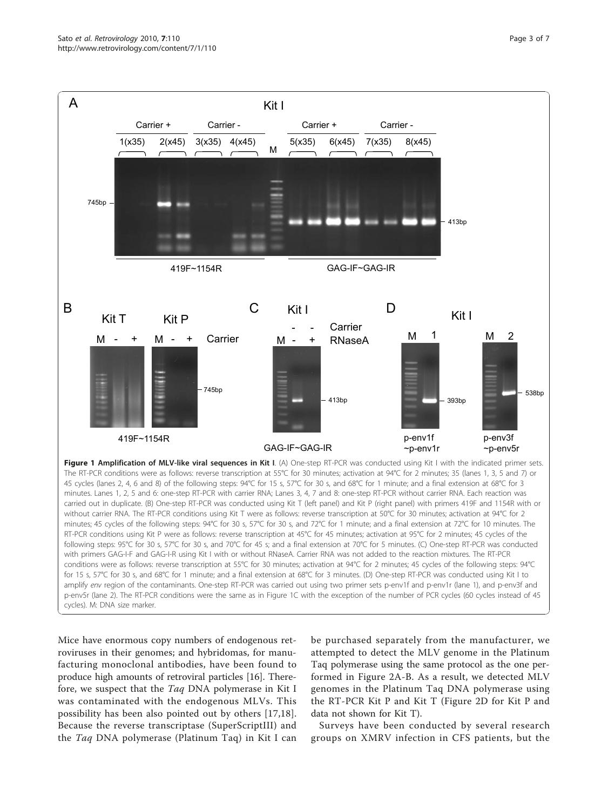

<span id="page-2-0"></span>

Mice have enormous copy numbers of endogenous retroviruses in their genomes; and hybridomas, for manufacturing monoclonal antibodies, have been found to produce high amounts of retroviral particles [[16](#page-6-0)]. Therefore, we suspect that the Taq DNA polymerase in Kit I was contaminated with the endogenous MLVs. This possibility has been also pointed out by others [[17,18](#page-6-0)]. Because the reverse transcriptase (SuperScriptIII) and the Taq DNA polymerase (Platinum Taq) in Kit I can

be purchased separately from the manufacturer, we attempted to detect the MLV genome in the Platinum Taq polymerase using the same protocol as the one performed in Figure [2A-B](#page-3-0). As a result, we detected MLV genomes in the Platinum Taq DNA polymerase using the RT-PCR Kit P and Kit T (Figure [2D](#page-3-0) for Kit P and data not shown for Kit T).

Surveys have been conducted by several research groups on XMRV infection in CFS patients, but the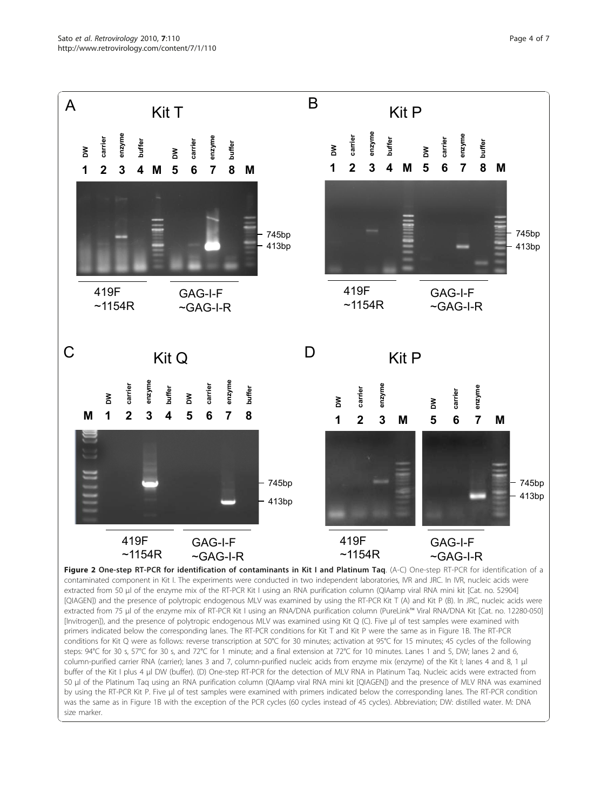<span id="page-3-0"></span>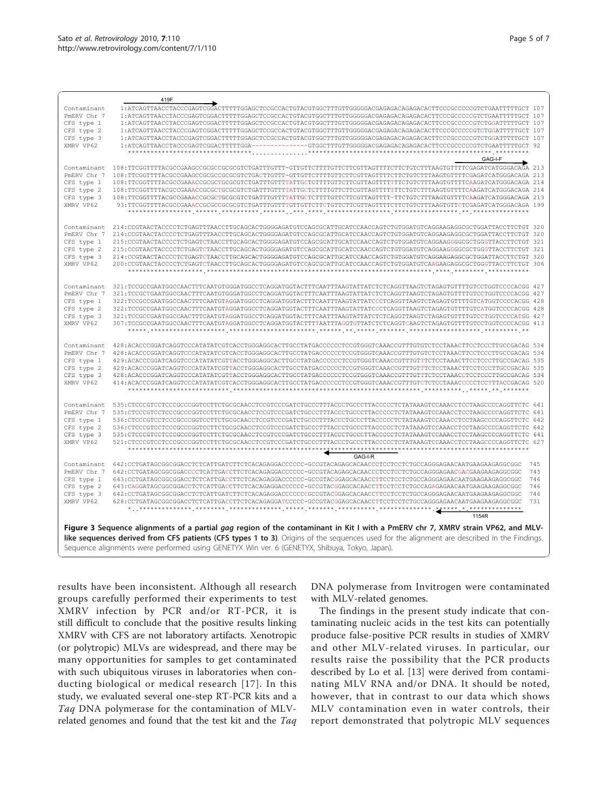<span id="page-4-0"></span>

|                                                                                                                                             | 419F                                                                                                                 |            |  |
|---------------------------------------------------------------------------------------------------------------------------------------------|----------------------------------------------------------------------------------------------------------------------|------------|--|
| Contaminant                                                                                                                                 | 1:ATCAGTTAACCTACCCGAGTCGGACTTTTTGGAGCTCCGCCACTGTACGTGGCTTTGTTGGGGGACGAGAGACAGAGACACTTCCCGCCCCCTCTGAATTTTTGCT 107     |            |  |
| PMERV Chr 7                                                                                                                                 | 1:ATCAGTTAACCTACCCGAGTCGGACTTTTTGGAGCTCCGCCACTGTACGTGGCTTTGTTGGGGGACGAGAGACAGAGACACTTCCCGCCCCCGTCTGAATTTTTGCT        | 107        |  |
| CFS type 1                                                                                                                                  | 1:ATCAGTTAACCTACCCGAGTCGGACTTTTTGGAGCTCCGCCACTGTACGTGGCTTTGTTGGGGGACGAGAGACAGAGACACTTCCCGCCCCCTCTGGATTTTTGCT 107     |            |  |
| CFS type 2                                                                                                                                  |                                                                                                                      |            |  |
| CFS type 3                                                                                                                                  | 1:ATCAGTTAACCTACCCGAGTCGGACTTTTTGGAGCTCCGCCACTGTACGTGGCTTTGTTGGGGGACGAGAGACAGAGACACTTCCCGCCCCCTCTGGATTTTTGCT 107     |            |  |
| XMRV VP62                                                                                                                                   |                                                                                                                      |            |  |
|                                                                                                                                             | ************ *********                                                                                               |            |  |
|                                                                                                                                             | GAG-I-F                                                                                                              |            |  |
| Contaminant                                                                                                                                 | 108:TTCGGTTTTACGCCGAAGCCGCGCGCGCGCGTCTGATTTGTTT-GTTGTTCTTTTTGTTCTTCGTAGTTTTCTTCTGTCTTTAAGTGTTTTCGAGATCATGGGACAGA 213 |            |  |
| PmERV Chr 7                                                                                                                                 | 108:TTCGGTTTTACGCCGAAGCCGCGCGCGCGCGTCTGACTTGTTT-GTTGTTCTTTTGTTCTTCGTTAGTTTTCTTCTGTCTTTAAGTGTTTTCGAGATCATGGGACAGA 213 |            |  |
| CFS type 1                                                                                                                                  | 108:TTCGGTTTTACGCCGAAACCGCGCTGCGCGTCTGATTTGTTTTATTGCTCTTTTGTTCTTCGTTAGTTTTTTCTGTCTTTAAGTGTTTTCAAGATCATGGGACAGA 214   |            |  |
| CFS type 2                                                                                                                                  | 108:TTCGGTTTTACGCCGAAACCGCGCGCGCGCGTCTGATTTGTTTTATTGCTCTTTTGTTCTTCGTTAGTTTTTTCTGTCTTTAAGTGTTTTCAAGATCATGGGACAGA 214  |            |  |
| CFS type 3                                                                                                                                  | 108:TTCGGTTTTACGCCGAAACCGCGCTGCGCGTCTGATTTGTTTTATTGCTCTTTTGTTCTTCGTTAGTTTT-TTCTGTCTTTAAGTGTTTTCAAGATCATGGGACAGA 213  |            |  |
| XMRV VP62                                                                                                                                   | 93:TTCGGTTTTACGCCGAAACCGCGCGCGCGTCTGATTTGTTTTGTTCTTCTTCTTCTTCCTTAGTTTTCTGTCTTTAAGTGTTCTCGAGATCATGGGACAGA             | 199        |  |
|                                                                                                                                             |                                                                                                                      |            |  |
|                                                                                                                                             |                                                                                                                      |            |  |
| Contaminant                                                                                                                                 | 214:CCGTAACTACCCCTCTGAGTTTAACCTTGCAGCACTGGGGAGATGTCCAGCGCATTGCATCCAACCAGTCTGTGGATGTCAGGAAGAGGCGCTGGATTACCTTCTGT      |            |  |
| PMERV Chr<br>-7                                                                                                                             | 214:CCGTAACTACCCCTCTGAGTTTAACCTTGCAGCACTGGGGAGATGTCCAGCGCATTGCATCCAACCAGTCTGTGGATGTCAGGAAGAGGCGCTGGATTACCTTCTGT      | 320        |  |
| CFS type 1                                                                                                                                  | 215:CCGTAACTACCCCTCTGAGTCTAACCTTGCAGCACTGGGGAGATGTCCAGCGCATTGCATCCAACCAGTCTGTGGATGTCAGGAAGGGGCGCTGGGTTACCTTCTGT      | 321        |  |
| CFS type 2                                                                                                                                  | 215:CCGTAACTACCCCTCTGAGTCTAACCTTGCAGCACTGGGGAGATGTCCAGCGCATTGCATCCAACCAGTCTGTGGATGTCAGGAAGGGGCGCTGGGTTACCTTCTGT      | 321        |  |
| CFS type 3<br>XMRV VP62                                                                                                                     | 214: CCGTAACTACCCCTCTGAGTCTAACCTTGCAGCACTGGGGAGATGTCCAGCGCATTGCATCCAACCAGTCTGTGGATGTCAGGAAGAGGCGCTGGATTACCTTCTGT 320 |            |  |
|                                                                                                                                             | 200:CCGTAACTACCCCTCTGAGTCTAACCTTGCAGCACTGGGGAGATGTCCAGCGCATTGCATCCAACCAGTCTGTGGATGTCAAGAAGAGGCGCTGGGTTACCTTCTGT      |            |  |
|                                                                                                                                             |                                                                                                                      |            |  |
| Contaminant                                                                                                                                 | 321:TCCGCCGAATGGCCAACTTTCAATGTGGGATGGCCTCAGGATGGTACTTTCAATTTAAGTATTATCTCTCAGGTTAAGTCTAGAGTGTTTTGTCCTGGTCCCCACGG 427  |            |  |
| PmERV Chr 7                                                                                                                                 | 321:TCCGCTGAATGGCCAACTTTCAATGTGGGATGGCCTCAGGATGGTACTTTCAATTTAAGTATTATCTCTCAGGTTAAGTCTAGAGTGTTTTGTCCTGGTCCCACGG       | 427        |  |
| CFS type 1                                                                                                                                  | 322:TCCGCCGAATGGCCAACTTTCAATGTAGGATGGCCTCAGGATGGTACTTTCAATTTAAGTATTATCCCTCAGGTTAAGTCTAGAGTGTTTTGTCATGGTCCCCACGG      | 428        |  |
| CFS type 2                                                                                                                                  | 322:TCCGCCGAATGGCCAACTTTCAATGTAGGATGGCCTCAGGATGGTACTTTCAATTTAAGTATTATCCCTCAGGTTAAGTCTAGAGTGTTTTGTCATGGTCCCCACGG      |            |  |
| CFS type 3                                                                                                                                  | 321:TCCGCCGAATGGCCAACTTTCAATGTAGGATGGCCTCAGGATGGTACTTTCAATTTAAGTATTATCTCTCAGGTTAAGTCTAGAGTGTTTTGTCCTGGTCCCCATGG 427  |            |  |
| XMRV VP62                                                                                                                                   | 307: TCCGCCGAATGGCCAACTTTCAATGTAGGATGGCCTCAGGATGGTACTTTTAATTTAGGTGTTATCTCTCAGGTCAAGTCTAGAGTGTTTTGTCCTGGTCCCCACGG 413 |            |  |
|                                                                                                                                             |                                                                                                                      |            |  |
|                                                                                                                                             |                                                                                                                      |            |  |
| Contaminant                                                                                                                                 | 428:ACACCCGGATCAGGTCCCATATATCGTCACCTGGGAGGCACTTGCCTATGACCCCCCTCCGTGGGTCAAACCGTTTGTGTCTCCTAAACTTCCTCCCTTGCCGACAG      | 534        |  |
| PmERV Chr 7                                                                                                                                 | 428:ACACCCGGATCAGGTCCCATATATCGTCACCTGGGAGGCACTTGCCTATGACCCCCCTCCGTGGGTCAAACCGTTTGTGTCTCCTAAACTTCCTCCCTTGCCGACAG      | 534        |  |
| CFS type 1                                                                                                                                  |                                                                                                                      |            |  |
| CFS type 2                                                                                                                                  |                                                                                                                      | -535       |  |
| CFS type 3                                                                                                                                  |                                                                                                                      | 534<br>520 |  |
| XMRV VP62                                                                                                                                   | 414:ACACCCGGATCAGGTCCCATATATCGTCACCTGGGAGGCACTTGCCTATGACCCCCCTCCGTGGGTCAAACCGTTTGTCTCTCCTAAACCCCCTCCTTTACCGACAG      |            |  |
|                                                                                                                                             |                                                                                                                      |            |  |
| Contaminant                                                                                                                                 | 535:CTCCCGTCCTCCCGGCCGGTCCTTCTGCGCAACCTCCGTCCCGATCTGCCCTTTACCCTGCCCTTACCCCCTCTATAAAGTCCAAACCTCCTAAGCCCCAGGTTCTC      | 641        |  |
| PmERV Chr 7                                                                                                                                 | 535: CTCCCGTCCTCCCGCCCGGTCCTTCTGCGCAACCTCCGTCCCGATCTGCCCTTTACCCTGCCCTTACCCCCTCTATAAAGTCCAAACCTCCTAAGCCCCAGGTTCTC     | 641        |  |
| CFS type 1                                                                                                                                  | 536:CTCCCGTCCTCCCGGCCGGTCCTTCTGCGCAACCTCCGTCCCGATCTGCCCTTTACCCTGCCCTTACCCCCTCTATAAAGTCCAAACCTCCTAAGCCCCAGGTTCTC      | 642        |  |
| CFS type 2                                                                                                                                  | 536: CTCCCGTCCTCCCGCCCGGTCCTTCTGCGCAACCTCCGTCCCGATCTGCCCTTTACCCTGCCCTTACCCCCTCTATAAAGTCCAAACCTCCTAAGCCCCAGGTTCTC     | 642        |  |
| CFS type 3                                                                                                                                  | 535:CTCCCGTCCTCCCGCCCGGTCCTTCTGCGCAACCTCCGTCCCGATCTGCCCTTTACCCTGCCCTTACCCCCTCTATAAAGTCCAAACCTCCTAAGCCCCAGGTTCTC 641  |            |  |
| XMRV VP62                                                                                                                                   | 521:CTCCCGTCCTCCCGGCCGGTCCTTCTGCGCAACCTCCGTCCCGATCTGCCCTTTACCCTGCCCTTACCCCCTCTATAAAGTCCAAACCTCCTAAGCCCCAGGTTCTC      |            |  |
|                                                                                                                                             |                                                                                                                      |            |  |
|                                                                                                                                             | GAG-I-R                                                                                                              |            |  |
| Contaminant                                                                                                                                 |                                                                                                                      | 745        |  |
| PmERV Chr 7                                                                                                                                 | 642:CCTGATAGCGGCGGACCCCTCATTGACCTTCTCACAGAGGACCCCCC-GCCGTACAGAGCACAACCCTCCTCCTCTGCCAGGGAGAACGACGAAGAAGAGGCGGC        | 745        |  |
| CFS type 1                                                                                                                                  | 643:CCTGATAGCGGGGACCTCTCATTGACCTTCTCACAGAGGACCCCCC-GCCGTACGGAGCACAACCTTCCTCCTCTGCCAGGGAGAACAATGAAGAAGGCGGC           | 746        |  |
| CFS type 2                                                                                                                                  | 643:CAGGATAGCGGCGGACCTCTCATTGACCTTCTCACAGAGGACCCCCC-GCCGTACGGAGCACAACCTTCCTCCTCTGCCAGAGAGAACAATGAAGAAGAGGCGGC        | 746        |  |
| CFS type 3                                                                                                                                  |                                                                                                                      | 746        |  |
| XMRV VP62                                                                                                                                   | 628:CCTGATAGCGGCGGACCTCTCATTGACCTTCTCACAGAGGATCCCCC-GCCGTACGGAGCACAACCTTCCTCCTCTGCCAGGGAGAACAATGAAGAAGAGGCGGC        | 731        |  |
|                                                                                                                                             | 1154R                                                                                                                |            |  |
|                                                                                                                                             |                                                                                                                      |            |  |
| Figure 3 Sequence alignments of a partial gag region of the contaminant in Kit I with a PmERV chr 7, XMRV strain VP62, and MLV-             |                                                                                                                      |            |  |
| like sequences derived from CFS patients (CFS types 1 to 3). Origins of the sequences used for the alignment are described in the Findings. |                                                                                                                      |            |  |
| Sequence alignments were performed using GENETYX Win ver. 6 (GENETYX, Shibuya, Tokyo, Japan).                                               |                                                                                                                      |            |  |
|                                                                                                                                             |                                                                                                                      |            |  |

results have been inconsistent. Although all research groups carefully performed their experiments to test XMRV infection by PCR and/or RT-PCR, it is still difficult to conclude that the positive results linking XMRV with CFS are not laboratory artifacts. Xenotropic (or polytropic) MLVs are widespread, and there may be many opportunities for samples to get contaminated with such ubiquitous viruses in laboratories when conducting biological or medical research [[17\]](#page-6-0). In this study, we evaluated several one-step RT-PCR kits and a Taq DNA polymerase for the contamination of MLVrelated genomes and found that the test kit and the Taq

DNA polymerase from Invitrogen were contaminated with MLV-related genomes.

The findings in the present study indicate that contaminating nucleic acids in the test kits can potentially produce false-positive PCR results in studies of XMRV and other MLV-related viruses. In particular, our results raise the possibility that the PCR products described by Lo et al. [[13](#page-6-0)] were derived from contaminating MLV RNA and/or DNA. It should be noted, however, that in contrast to our data which shows MLV contamination even in water controls, their report demonstrated that polytropic MLV sequences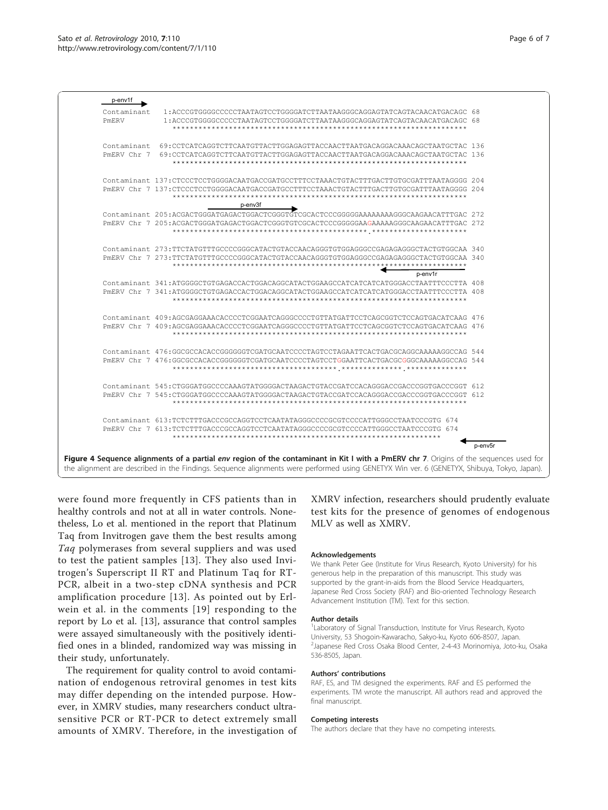<span id="page-5-0"></span>

were found more frequently in CFS patients than in healthy controls and not at all in water controls. Nonetheless, Lo et al. mentioned in the report that Platinum Taq from Invitrogen gave them the best results among Taq polymerases from several suppliers and was used to test the patient samples [[13](#page-6-0)]. They also used Invitrogen's Superscript II RT and Platinum Taq for RT-PCR, albeit in a two-step cDNA synthesis and PCR amplification procedure [[13](#page-6-0)]. As pointed out by Erlwein et al. in the comments [[19\]](#page-6-0) responding to the report by Lo et al. [[13](#page-6-0)], assurance that control samples were assayed simultaneously with the positively identified ones in a blinded, randomized way was missing in their study, unfortunately.

The requirement for quality control to avoid contamination of endogenous retroviral genomes in test kits may differ depending on the intended purpose. However, in XMRV studies, many researchers conduct ultrasensitive PCR or RT-PCR to detect extremely small amounts of XMRV. Therefore, in the investigation of

XMRV infection, researchers should prudently evaluate test kits for the presence of genomes of endogenous MLV as well as XMRV.

## Acknowledgements

We thank Peter Gee (Institute for Virus Research, Kyoto University) for his generous help in the preparation of this manuscript. This study was supported by the grant-in-aids from the Blood Service Headquarters, Japanese Red Cross Society (RAF) and Bio-oriented Technology Research Advancement Institution (TM). Text for this section.

## Author details

<sup>1</sup> Laboratory of Signal Transduction, Institute for Virus Research, Kyoto University, 53 Shogoin-Kawaracho, Sakyo-ku, Kyoto 606-8507, Japan. 2 Japanese Red Cross Osaka Blood Center, 2-4-43 Morinomiya, Joto-ku, Osaka 536-8505, Japan.

#### Authors' contributions

RAF, ES, and TM designed the experiments. RAF and ES performed the experiments. TM wrote the manuscript. All authors read and approved the final manuscript.

#### Competing interests

The authors declare that they have no competing interests.